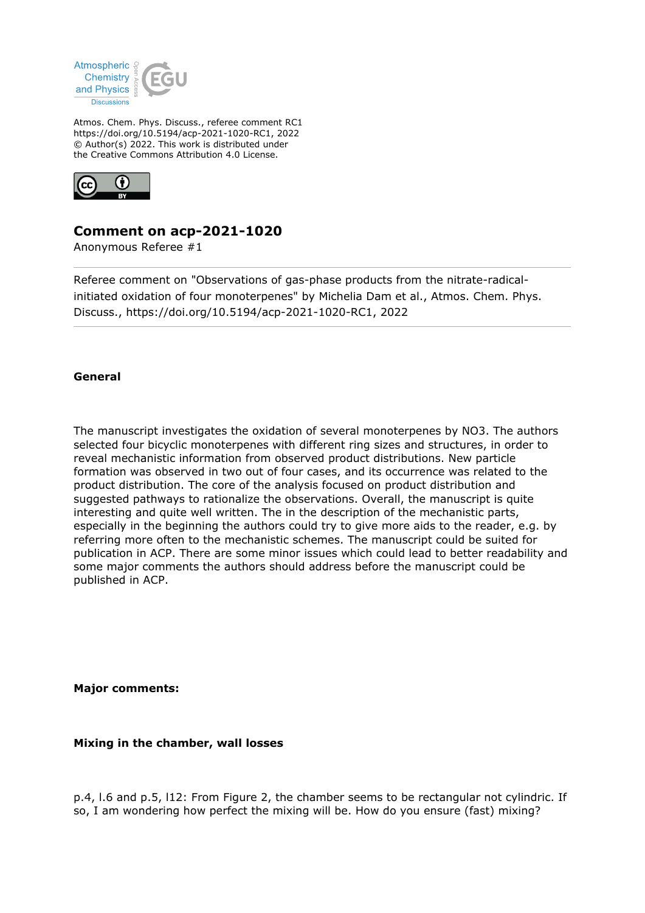

Atmos. Chem. Phys. Discuss., referee comment RC1 https://doi.org/10.5194/acp-2021-1020-RC1, 2022 © Author(s) 2022. This work is distributed under the Creative Commons Attribution 4.0 License.



# **Comment on acp-2021-1020**

Anonymous Referee #1

Referee comment on "Observations of gas-phase products from the nitrate-radicalinitiated oxidation of four monoterpenes" by Michelia Dam et al., Atmos. Chem. Phys. Discuss., https://doi.org/10.5194/acp-2021-1020-RC1, 2022

### **General**

The manuscript investigates the oxidation of several monoterpenes by NO3. The authors selected four bicyclic monoterpenes with different ring sizes and structures, in order to reveal mechanistic information from observed product distributions. New particle formation was observed in two out of four cases, and its occurrence was related to the product distribution. The core of the analysis focused on product distribution and suggested pathways to rationalize the observations. Overall, the manuscript is quite interesting and quite well written. The in the description of the mechanistic parts, especially in the beginning the authors could try to give more aids to the reader, e.g. by referring more often to the mechanistic schemes. The manuscript could be suited for publication in ACP. There are some minor issues which could lead to better readability and some major comments the authors should address before the manuscript could be published in ACP.

**Major comments:**

**Mixing in the chamber, wall losses**

p.4, l.6 and p.5, l12: From Figure 2, the chamber seems to be rectangular not cylindric. If so, I am wondering how perfect the mixing will be. How do you ensure (fast) mixing?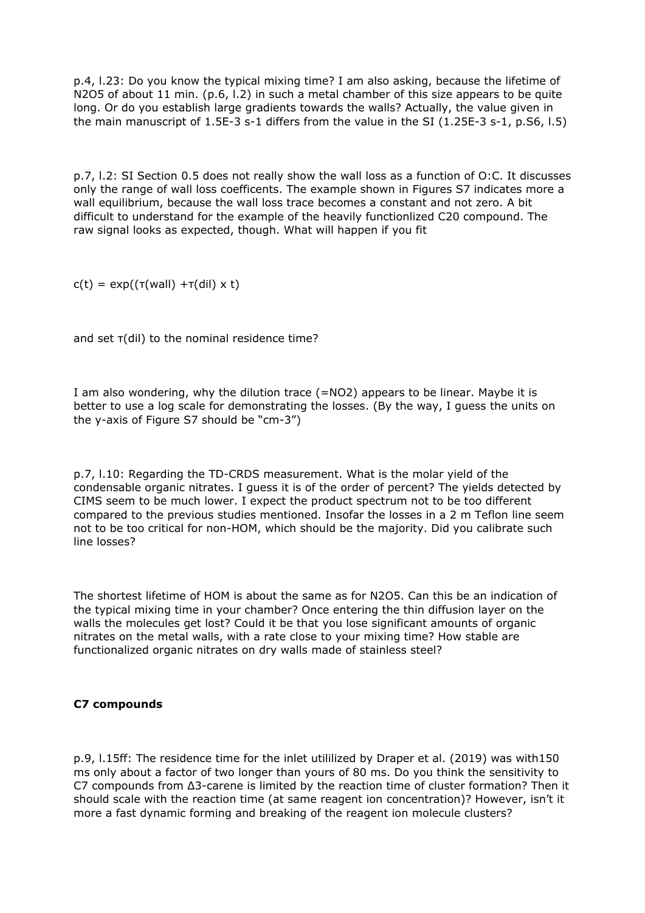p.4, l.23: Do you know the typical mixing time? I am also asking, because the lifetime of N2O5 of about 11 min. (p.6, l.2) in such a metal chamber of this size appears to be quite long. Or do you establish large gradients towards the walls? Actually, the value given in the main manuscript of 1.5E-3 s-1 differs from the value in the SI (1.25E-3 s-1, p.S6, l.5)

p.7, l.2: SI Section 0.5 does not really show the wall loss as a function of O:C. It discusses only the range of wall loss coefficents. The example shown in Figures S7 indicates more a wall equilibrium, because the wall loss trace becomes a constant and not zero. A bit difficult to understand for the example of the heavily functionlized C20 compound. The raw signal looks as expected, though. What will happen if you fit

 $c(t) = exp((\tau(wall) + \tau(dil) \times t))$ 

and set τ(dil) to the nominal residence time?

I am also wondering, why the dilution trace (=NO2) appears to be linear. Maybe it is better to use a log scale for demonstrating the losses. (By the way, I guess the units on the y-axis of Figure S7 should be "cm-3")

p.7, l.10: Regarding the TD-CRDS measurement. What is the molar yield of the condensable organic nitrates. I guess it is of the order of percent? The yields detected by CIMS seem to be much lower. I expect the product spectrum not to be too different compared to the previous studies mentioned. Insofar the losses in a 2 m Teflon line seem not to be too critical for non-HOM, which should be the majority. Did you calibrate such line losses?

The shortest lifetime of HOM is about the same as for N2O5. Can this be an indication of the typical mixing time in your chamber? Once entering the thin diffusion layer on the walls the molecules get lost? Could it be that you lose significant amounts of organic nitrates on the metal walls, with a rate close to your mixing time? How stable are functionalized organic nitrates on dry walls made of stainless steel?

### **C7 compounds**

p.9, l.15ff: The residence time for the inlet utililized by Draper et al. (2019) was with150 ms only about a factor of two longer than yours of 80 ms. Do you think the sensitivity to C7 compounds from Δ3-carene is limited by the reaction time of cluster formation? Then it should scale with the reaction time (at same reagent ion concentration)? However, isn't it more a fast dynamic forming and breaking of the reagent ion molecule clusters?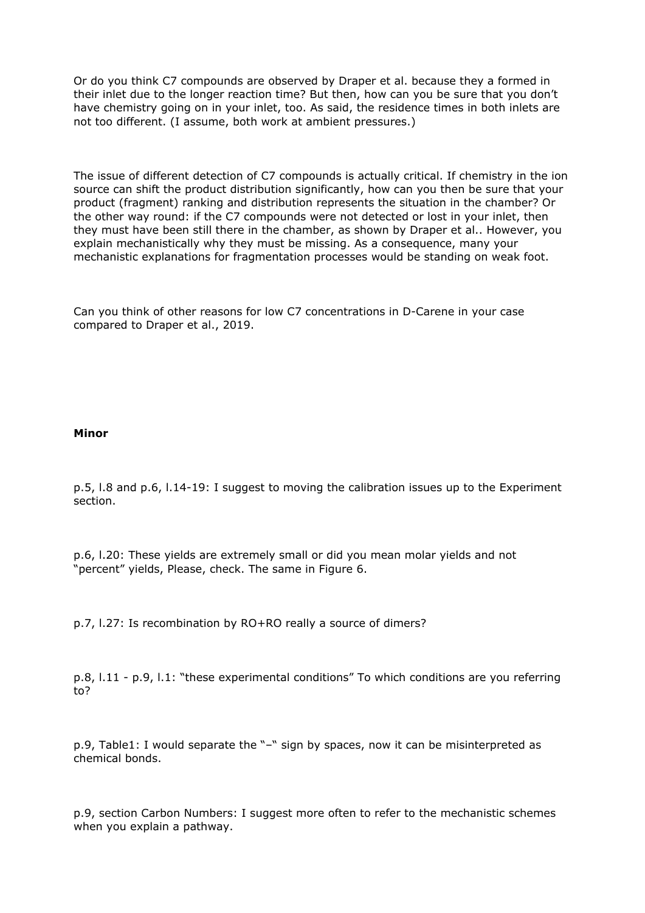Or do you think C7 compounds are observed by Draper et al. because they a formed in their inlet due to the longer reaction time? But then, how can you be sure that you don't have chemistry going on in your inlet, too. As said, the residence times in both inlets are not too different. (I assume, both work at ambient pressures.)

The issue of different detection of C7 compounds is actually critical. If chemistry in the ion source can shift the product distribution significantly, how can you then be sure that your product (fragment) ranking and distribution represents the situation in the chamber? Or the other way round: if the C7 compounds were not detected or lost in your inlet, then they must have been still there in the chamber, as shown by Draper et al.. However, you explain mechanistically why they must be missing. As a consequence, many your mechanistic explanations for fragmentation processes would be standing on weak foot.

Can you think of other reasons for low C7 concentrations in D-Carene in your case compared to Draper et al., 2019.

#### **Minor**

p.5, l.8 and p.6, l.14-19: I suggest to moving the calibration issues up to the Experiment section.

p.6, l.20: These yields are extremely small or did you mean molar yields and not "percent" yields, Please, check. The same in Figure 6.

p.7, l.27: Is recombination by RO+RO really a source of dimers?

p.8, l.11 - p.9, l.1: "these experimental conditions" To which conditions are you referring to?

p.9, Table1: I would separate the "–" sign by spaces, now it can be misinterpreted as chemical bonds.

p.9, section Carbon Numbers: I suggest more often to refer to the mechanistic schemes when you explain a pathway.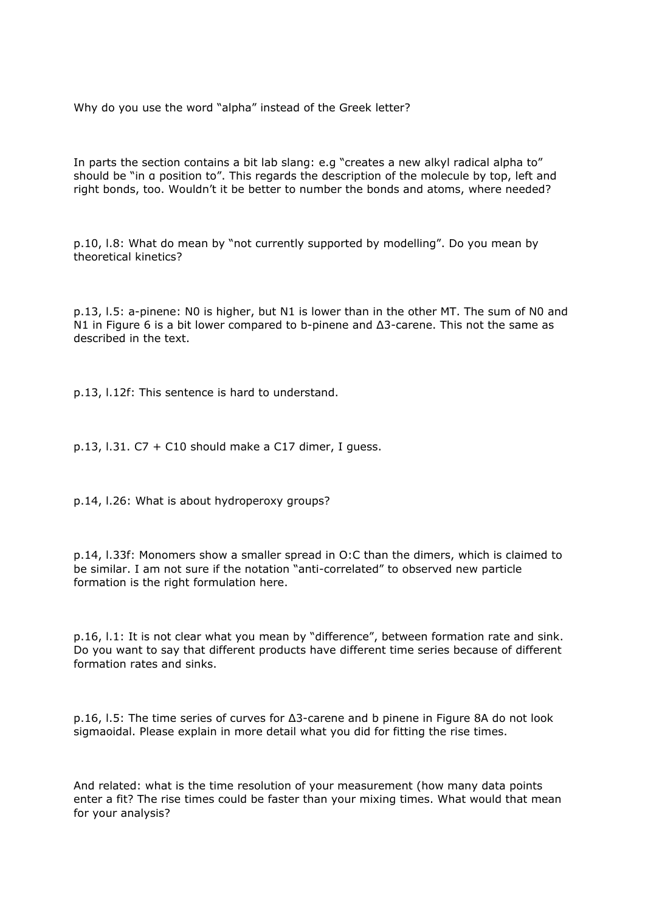Why do you use the word "alpha" instead of the Greek letter?

In parts the section contains a bit lab slang: e.g "creates a new alkyl radical alpha to" should be "in α position to". This regards the description of the molecule by top, left and right bonds, too. Wouldn't it be better to number the bonds and atoms, where needed?

p.10, l.8: What do mean by "not currently supported by modelling". Do you mean by theoretical kinetics?

p.13, l.5: a-pinene: N0 is higher, but N1 is lower than in the other MT. The sum of N0 and N1 in Figure 6 is a bit lower compared to b-pinene and Δ3-carene. This not the same as described in the text.

p.13, l.12f: This sentence is hard to understand.

p.13, l.31.  $C7 + C10$  should make a C17 dimer, I quess.

p.14, l.26: What is about hydroperoxy groups?

p.14, l.33f: Monomers show a smaller spread in O:C than the dimers, which is claimed to be similar. I am not sure if the notation "anti-correlated" to observed new particle formation is the right formulation here.

p.16, l.1: It is not clear what you mean by "difference", between formation rate and sink. Do you want to say that different products have different time series because of different formation rates and sinks.

p.16, l.5: The time series of curves for Δ3-carene and b pinene in Figure 8A do not look sigmaoidal. Please explain in more detail what you did for fitting the rise times.

And related: what is the time resolution of your measurement (how many data points enter a fit? The rise times could be faster than your mixing times. What would that mean for your analysis?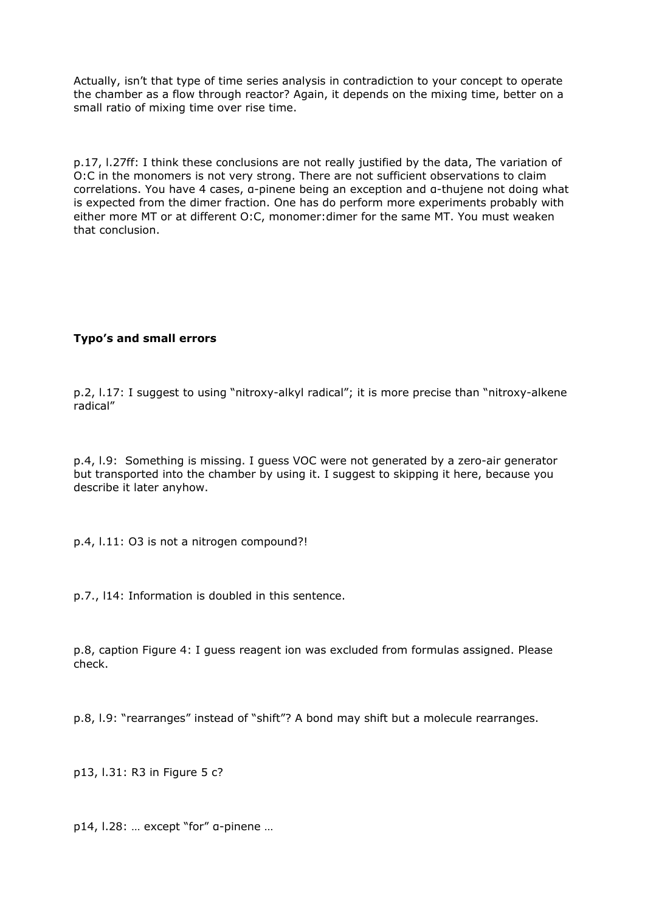Actually, isn't that type of time series analysis in contradiction to your concept to operate the chamber as a flow through reactor? Again, it depends on the mixing time, better on a small ratio of mixing time over rise time.

p.17, l.27ff: I think these conclusions are not really justified by the data, The variation of O:C in the monomers is not very strong. There are not sufficient observations to claim correlations. You have 4 cases, α-pinene being an exception and α-thujene not doing what is expected from the dimer fraction. One has do perform more experiments probably with either more MT or at different O:C, monomer:dimer for the same MT. You must weaken that conclusion.

## **Typo's and small errors**

p.2, l.17: I suggest to using "nitroxy-alkyl radical"; it is more precise than "nitroxy-alkene radical"

p.4, l.9: Something is missing. I guess VOC were not generated by a zero-air generator but transported into the chamber by using it. I suggest to skipping it here, because you describe it later anyhow.

p.4, l.11: O3 is not a nitrogen compound?!

p.7., l14: Information is doubled in this sentence.

p.8, caption Figure 4: I guess reagent ion was excluded from formulas assigned. Please check.

p.8, l.9: "rearranges" instead of "shift"? A bond may shift but a molecule rearranges.

p13, l.31: R3 in Figure 5 c?

p14, l.28: … except "for" α-pinene …